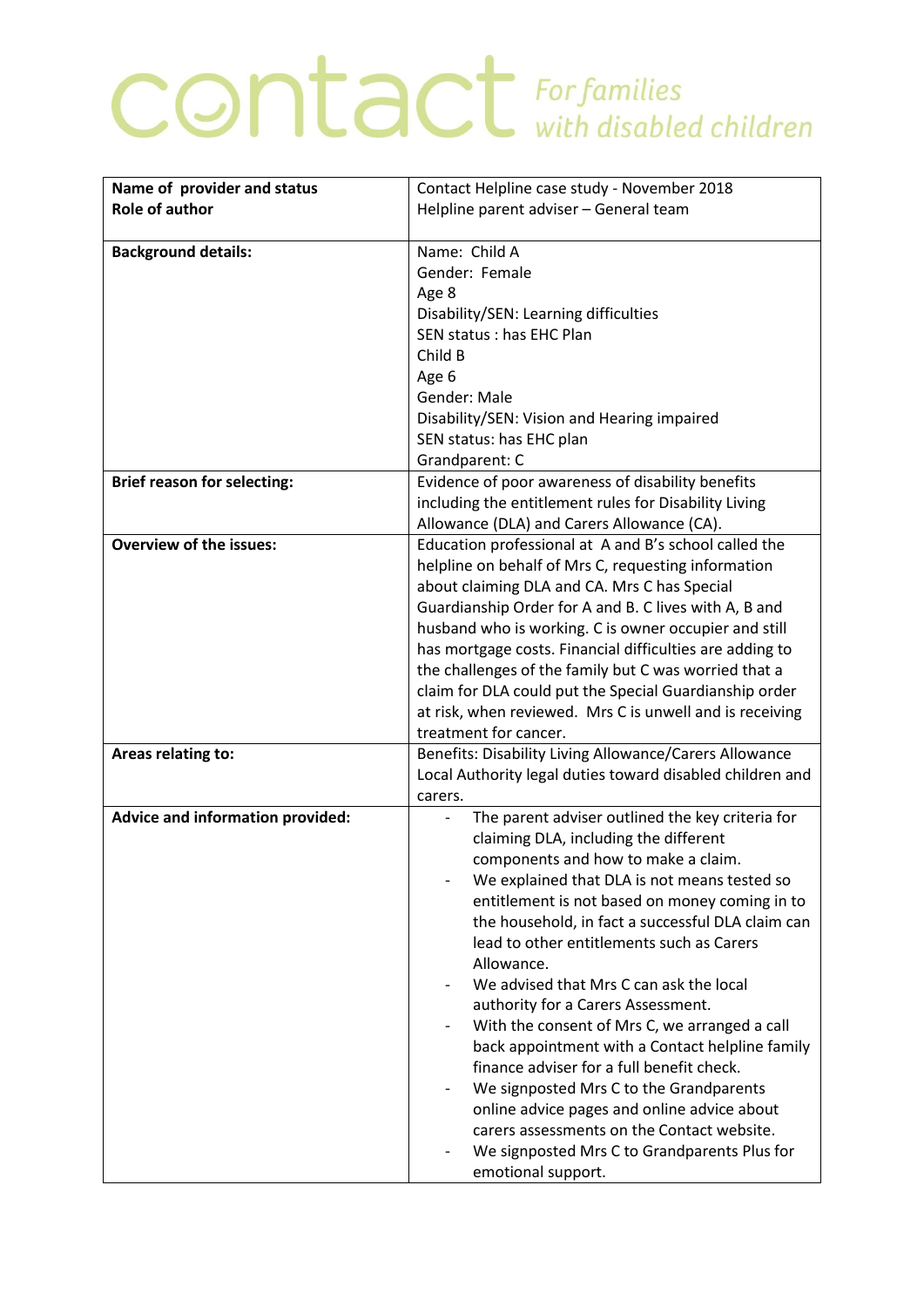## **CONTACT** For families

| Name of provider and status             | Contact Helpline case study - November 2018               |
|-----------------------------------------|-----------------------------------------------------------|
| <b>Role of author</b>                   | Helpline parent adviser - General team                    |
|                                         |                                                           |
| <b>Background details:</b>              | Name: Child A                                             |
|                                         | Gender: Female                                            |
|                                         | Age 8                                                     |
|                                         | Disability/SEN: Learning difficulties                     |
|                                         | SEN status : has EHC Plan                                 |
|                                         | Child B                                                   |
|                                         | Age 6                                                     |
|                                         | Gender: Male                                              |
|                                         | Disability/SEN: Vision and Hearing impaired               |
|                                         | SEN status: has EHC plan                                  |
|                                         | Grandparent: C                                            |
| <b>Brief reason for selecting:</b>      | Evidence of poor awareness of disability benefits         |
|                                         | including the entitlement rules for Disability Living     |
|                                         | Allowance (DLA) and Carers Allowance (CA).                |
| <b>Overview of the issues:</b>          | Education professional at A and B's school called the     |
|                                         | helpline on behalf of Mrs C, requesting information       |
|                                         | about claiming DLA and CA. Mrs C has Special              |
|                                         | Guardianship Order for A and B. C lives with A, B and     |
|                                         | husband who is working. C is owner occupier and still     |
|                                         | has mortgage costs. Financial difficulties are adding to  |
|                                         | the challenges of the family but C was worried that a     |
|                                         | claim for DLA could put the Special Guardianship order    |
|                                         | at risk, when reviewed. Mrs C is unwell and is receiving  |
|                                         | treatment for cancer.                                     |
| Areas relating to:                      | Benefits: Disability Living Allowance/Carers Allowance    |
|                                         | Local Authority legal duties toward disabled children and |
|                                         | carers.                                                   |
| <b>Advice and information provided:</b> | The parent adviser outlined the key criteria for          |
|                                         | claiming DLA, including the different                     |
|                                         | components and how to make a claim.                       |
|                                         | We explained that DLA is not means tested so              |
|                                         | entitlement is not based on money coming in to            |
|                                         | the household, in fact a successful DLA claim can         |
|                                         | lead to other entitlements such as Carers                 |
|                                         | Allowance.                                                |
|                                         | We advised that Mrs C can ask the local                   |
|                                         | authority for a Carers Assessment.                        |
|                                         | With the consent of Mrs C, we arranged a call             |
|                                         | back appointment with a Contact helpline family           |
|                                         | finance adviser for a full benefit check.                 |
|                                         | We signposted Mrs C to the Grandparents                   |
|                                         | online advice pages and online advice about               |
|                                         | carers assessments on the Contact website.                |
|                                         | We signposted Mrs C to Grandparents Plus for              |
|                                         | emotional support.                                        |
|                                         |                                                           |